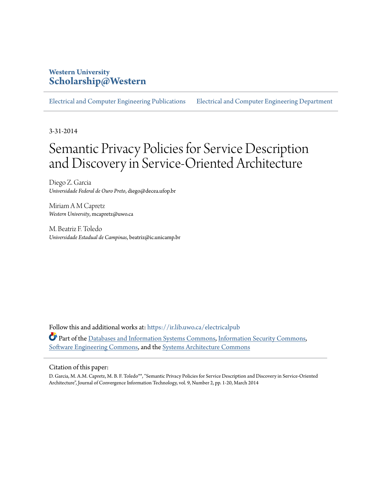## **Western University [Scholarship@Western](https://ir.lib.uwo.ca?utm_source=ir.lib.uwo.ca%2Felectricalpub%2F43&utm_medium=PDF&utm_campaign=PDFCoverPages)**

[Electrical and Computer Engineering Publications](https://ir.lib.uwo.ca/electricalpub?utm_source=ir.lib.uwo.ca%2Felectricalpub%2F43&utm_medium=PDF&utm_campaign=PDFCoverPages) [Electrical and Computer Engineering Department](https://ir.lib.uwo.ca/electrical?utm_source=ir.lib.uwo.ca%2Felectricalpub%2F43&utm_medium=PDF&utm_campaign=PDFCoverPages)

3-31-2014

# Semantic Privacy Policies for Service Description and Discovery in Service-Oriented Architecture

Diego Z. Garcia *Universidade Federal de Ouro Preto*, diego@decea.ufop.br

Miriam A M Capretz *Western University*, mcapretz@uwo.ca

M. Beatriz F. Toledo *Universidade Estadual de Campinas*, beatriz@ic.unicamp.br

Follow this and additional works at: [https://ir.lib.uwo.ca/electricalpub](https://ir.lib.uwo.ca/electricalpub?utm_source=ir.lib.uwo.ca%2Felectricalpub%2F43&utm_medium=PDF&utm_campaign=PDFCoverPages) Part of the [Databases and Information Systems Commons,](http://network.bepress.com/hgg/discipline/145?utm_source=ir.lib.uwo.ca%2Felectricalpub%2F43&utm_medium=PDF&utm_campaign=PDFCoverPages) [Information Security Commons](http://network.bepress.com/hgg/discipline/1247?utm_source=ir.lib.uwo.ca%2Felectricalpub%2F43&utm_medium=PDF&utm_campaign=PDFCoverPages), [Software Engineering Commons,](http://network.bepress.com/hgg/discipline/150?utm_source=ir.lib.uwo.ca%2Felectricalpub%2F43&utm_medium=PDF&utm_campaign=PDFCoverPages) and the [Systems Architecture Commons](http://network.bepress.com/hgg/discipline/144?utm_source=ir.lib.uwo.ca%2Felectricalpub%2F43&utm_medium=PDF&utm_campaign=PDFCoverPages)

#### Citation of this paper:

D. Garcia, M. A.M. Capretz, M. B. F. Toledo\*\*, "Semantic Privacy Policies for Service Description and Discovery in Service-Oriented Architecture", Journal of Convergence Information Technology, vol. 9, Number 2, pp. 1-20, March 2014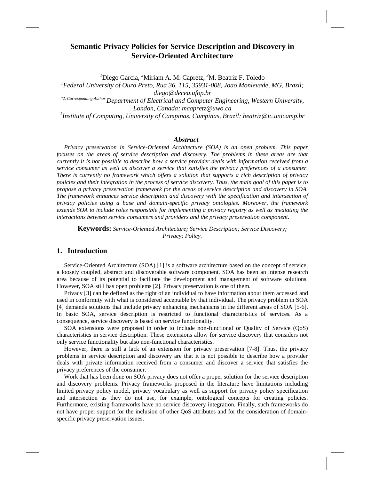### **Semantic Privacy Policies for Service Description and Discovery in Service-Oriented Architecture**

*<sup>1</sup>*Diego Garcia, *<sup>2</sup>*Miriam A. M. Capretz, *<sup>3</sup>*M. Beatriz F. Toledo

*<sup>1</sup>Federal University of Ouro Preto, Rua 36, 115, 35931-008, Joao Monlevade, MG, Brazil; diego@decea.ufop.br \*2, Corresponding Author Department of Electrical and Computer Engineering, Western University,* 

*London, Canada; mcapretz@uwo.ca*

*3 Institute of Computing, University of Campinas, Campinas, Brazil; beatriz@ic.unicamp.br*

#### *Abstract*

*Privacy preservation in Service-Oriented Architecture (SOA) is an open problem. This paper focuses on the areas of service description and discovery. The problems in these areas are that currently it is not possible to describe how a service provider deals with information received from a service consumer as well as discover a service that satisfies the privacy preferences of a consumer. There is currently no framework which offers a solution that supports a rich description of privacy policies and their integration in the process of service discovery. Thus, the main goal of this paper is to propose a privacy preservation framework for the areas of service description and discovery in SOA. The framework enhances service description and discovery with the specification and intersection of privacy policies using a base and domain-specific privacy ontologies. Moreover, the framework extends SOA to include roles responsible for implementing a privacy registry as well as mediating the interactions between service consumers and providers and the privacy preservation component.*

**Keywords:** *Service-Oriented Architecture; Service Description; Service Discovery; Privacy; Policy.*

#### **1. Introduction**

Service-Oriented Architecture (SOA) [\[1\]](#page-19-0) is a software architecture based on the concept of service, a loosely coupled, abstract and discoverable software component. SOA has been an intense research area because of its potential to facilitate the development and management of software solutions. However, SOA still has open problems [\[2\]](#page-19-1). Privacy preservation is one of them.

Privacy [\[3\]](#page-19-2) can be defined as the right of an individual to have information about them accessed and used in conformity with what is considered acceptable by that individual. The privacy problem in SOA [\[4\]](#page-19-3) demands solutions that include privacy enhancing mechanisms in the different areas of SOA [5-6]. In basic SOA, service description is restricted to functional characteristics of services. As a consequence, service discovery is based on service functionality.

SOA extensions were proposed in order to include non-functional or Quality of Service (QoS) characteristics in service description. These extensions allow for service discovery that considers not only service functionality but also non-functional characteristics.

However, there is still a lack of an extension for privacy preservation [7-8]. Thus, the privacy problems in service description and discovery are that it is not possible to describe how a provider deals with private information received from a consumer and discover a service that satisfies the privacy preferences of the consumer.

Work that has been done on SOA privacy does not offer a proper solution for the service description and discovery problems. Privacy frameworks proposed in the literature have limitations including limited privacy policy model, privacy vocabulary as well as support for privacy policy specification and intersection as they do not use, for example, ontological concepts for creating policies. Furthermore, existing frameworks have no service discovery integration. Finally, such frameworks do not have proper support for the inclusion of other QoS attributes and for the consideration of domainspecific privacy preservation issues.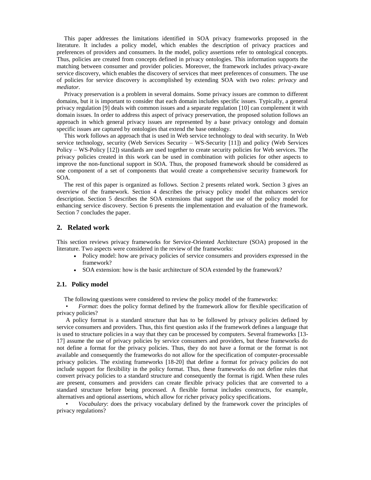This paper addresses the limitations identified in SOA privacy frameworks proposed in the literature. It includes a policy model, which enables the description of privacy practices and preferences of providers and consumers. In the model, policy assertions refer to ontological concepts. Thus, policies are created from concepts defined in privacy ontologies. This information supports the matching between consumer and provider policies. Moreover, the framework includes privacy-aware service discovery, which enables the discovery of services that meet preferences of consumers. The use of policies for service discovery is accomplished by extending SOA with two roles: *privacy* and *mediator*.

Privacy preservation is a problem in several domains. Some privacy issues are common to different domains, but it is important to consider that each domain includes specific issues. Typically, a general privacy regulation [\[9\]](#page-19-4) deals with common issues and a separate regulation [\[10\]](#page-19-5) can complement it with domain issues. In order to address this aspect of privacy preservation, the proposed solution follows an approach in which general privacy issues are represented by a base privacy ontology and domain specific issues are captured by ontologies that extend the base ontology.

This work follows an approach that is used in Web service technology to deal with security. In Web service technology, security (Web Services Security – WS-Security [\[11\]](#page-19-6)) and policy (Web Services Policy – WS-Policy [\[12\]](#page-19-7)) standards are used together to create security policies for Web services. The privacy policies created in this work can be used in combination with policies for other aspects to improve the non-functional support in SOA. Thus, the proposed framework should be considered as one component of a set of components that would create a comprehensive security framework for SOA.

The rest of this paper is organized as follows. Section 2 presents related work. Section 3 gives an overview of the framework. Section 4 describes the privacy policy model that enhances service description. Section 5 describes the SOA extensions that support the use of the policy model for enhancing service discovery. Section 6 presents the implementation and evaluation of the framework. Section 7 concludes the paper.

#### **2. Related work**

This section reviews privacy frameworks for Service-Oriented Architecture (SOA) proposed in the literature. Two aspects were considered in the review of the frameworks:

- Policy model: how are privacy policies of service consumers and providers expressed in the framework?
- SOA extension: how is the basic architecture of SOA extended by the framework?

#### **2.1. Policy model**

The following questions were considered to review the policy model of the frameworks:

• *Format*: does the policy format defined by the framework allow for flexible specification of privacy policies?

A policy format is a standard structure that has to be followed by privacy policies defined by service consumers and providers. Thus, this first question asks if the framework defines a language that is used to structure policies in a way that they can be processed by computers. Several frameworks [13- 17] assume the use of privacy policies by service consumers and providers, but these frameworks do not define a format for the privacy policies. Thus, they do not have a format or the format is not available and consequently the frameworks do not allow for the specification of computer-processable privacy policies. The existing frameworks [18-20] that define a format for privacy policies do not include support for flexibility in the policy format. Thus, these frameworks do not define rules that convert privacy policies to a standard structure and consequently the format is rigid. When these rules are present, consumers and providers can create flexible privacy policies that are converted to a standard structure before being processed. A flexible format includes constructs, for example, alternatives and optional assertions, which allow for richer privacy policy specifications.

• *Vocabulary*: does the privacy vocabulary defined by the framework cover the principles of privacy regulations?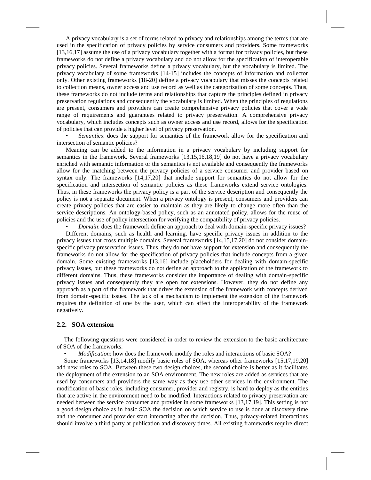A privacy vocabulary is a set of terms related to privacy and relationships among the terms that are used in the specification of privacy policies by service consumers and providers. Some frameworks [13,16,17] assume the use of a privacy vocabulary together with a format for privacy policies, but these frameworks do not define a privacy vocabulary and do not allow for the specification of interoperable privacy policies. Several frameworks define a privacy vocabulary, but the vocabulary is limited. The privacy vocabulary of some frameworks [14-15] includes the concepts of information and collector only. Other existing frameworks [18-20] define a privacy vocabulary that misses the concepts related to collection means, owner access and use record as well as the categorization of some concepts. Thus, these frameworks do not include terms and relationships that capture the principles defined in privacy preservation regulations and consequently the vocabulary is limited. When the principles of regulations are present, consumers and providers can create comprehensive privacy policies that cover a wide range of requirements and guarantees related to privacy preservation. A comprehensive privacy vocabulary, which includes concepts such as owner access and use record, allows for the specification of policies that can provide a higher level of privacy preservation.

• *Semantics*: does the support for semantics of the framework allow for the specification and intersection of semantic policies?

Meaning can be added to the information in a privacy vocabulary by including support for semantics in the framework. Several frameworks [13,15,16,18,19] do not have a privacy vocabulary enriched with semantic information or the semantics is not available and consequently the frameworks allow for the matching between the privacy policies of a service consumer and provider based on syntax only. The frameworks [14,17,20] that include support for semantics do not allow for the specification and intersection of semantic policies as these frameworks extend service ontologies. Thus, in these frameworks the privacy policy is a part of the service description and consequently the policy is not a separate document. When a privacy ontology is present, consumers and providers can create privacy policies that are easier to maintain as they are likely to change more often than the service descriptions. An ontology-based policy, such as an annotated policy, allows for the reuse of policies and the use of policy intersection for verifying the compatibility of privacy policies.

*Domain*: does the framework define an approach to deal with domain-specific privacy issues? Different domains, such as health and learning, have specific privacy issues in addition to the privacy issues that cross multiple domains. Several frameworks [14,15,17,20] do not consider domainspecific privacy preservation issues. Thus, they do not have support for extension and consequently the frameworks do not allow for the specification of privacy policies that include concepts from a given domain. Some existing frameworks [13,16] include placeholders for dealing with domain-specific privacy issues, but these frameworks do not define an approach to the application of the framework to different domains. Thus, these frameworks consider the importance of dealing with domain-specific privacy issues and consequently they are open for extensions. However, they do not define any approach as a part of the framework that drives the extension of the framework with concepts derived from domain-specific issues. The lack of a mechanism to implement the extension of the framework requires the definition of one by the user, which can affect the interoperability of the framework negatively.

#### **2.2. SOA extension**

The following questions were considered in order to review the extension to the basic architecture of SOA of the frameworks:

• *Modification*: how does the framework modify the roles and interactions of basic SOA?

Some frameworks [13,14,18] modify basic roles of SOA, whereas other frameworks [15,17,19,20] add new roles to SOA. Between these two design choices, the second choice is better as it facilitates the deployment of the extension to an SOA environment. The new roles are added as services that are used by consumers and providers the same way as they use other services in the environment. The modification of basic roles, including consumer, provider and registry, is hard to deploy as the entities that are active in the environment need to be modified. Interactions related to privacy preservation are needed between the service consumer and provider in some frameworks [13,17,19]. This setting is not a good design choice as in basic SOA the decision on which service to use is done at discovery time and the consumer and provider start interacting after the decision. Thus, privacy-related interactions should involve a third party at publication and discovery times. All existing frameworks require direct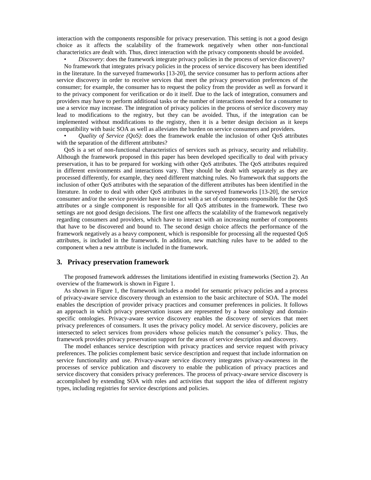interaction with the components responsible for privacy preservation. This setting is not a good design choice as it affects the scalability of the framework negatively when other non-functional characteristics are dealt with. Thus, direct interaction with the privacy components should be avoided.

• *Discovery*: does the framework integrate privacy policies in the process of service discovery?

No framework that integrates privacy policies in the process of service discovery has been identified in the literature. In the surveyed frameworks [13-20], the service consumer has to perform actions after service discovery in order to receive services that meet the privacy preservation preferences of the consumer; for example, the consumer has to request the policy from the provider as well as forward it to the privacy component for verification or do it itself. Due to the lack of integration, consumers and providers may have to perform additional tasks or the number of interactions needed for a consumer to use a service may increase. The integration of privacy policies in the process of service discovery may lead to modifications to the registry, but they can be avoided. Thus, if the integration can be implemented without modifications to the registry, then it is a better design decision as it keeps compatibility with basic SOA as well as alleviates the burden on service consumers and providers.

• *Quality of Service (QoS)*: does the framework enable the inclusion of other QoS attributes with the separation of the different attributes?

QoS is a set of non-functional characteristics of services such as privacy, security and reliability. Although the framework proposed in this paper has been developed specifically to deal with privacy preservation, it has to be prepared for working with other QoS attributes. The QoS attributes required in different environments and interactions vary. They should be dealt with separately as they are processed differently, for example, they need different matching rules. No framework that supports the inclusion of other QoS attributes with the separation of the different attributes has been identified in the literature. In order to deal with other QoS attributes in the surveyed frameworks [13-20], the service consumer and/or the service provider have to interact with a set of components responsible for the QoS attributes or a single component is responsible for all QoS attributes in the framework. These two settings are not good design decisions. The first one affects the scalability of the framework negatively regarding consumers and providers, which have to interact with an increasing number of components that have to be discovered and bound to. The second design choice affects the performance of the framework negatively as a heavy component, which is responsible for processing all the requested QoS attributes, is included in the framework. In addition, new matching rules have to be added to the component when a new attribute is included in the framework.

#### **3. Privacy preservation framework**

The proposed framework addresses the limitations identified in existing frameworks (Section 2). An overview of the framework is shown in Figure 1.

As shown in Figure 1, the framework includes a model for semantic privacy policies and a process of privacy-aware service discovery through an extension to the basic architecture of SOA. The model enables the description of provider privacy practices and consumer preferences in policies. It follows an approach in which privacy preservation issues are represented by a base ontology and domainspecific ontologies. Privacy-aware service discovery enables the discovery of services that meet privacy preferences of consumers. It uses the privacy policy model. At service discovery, policies are intersected to select services from providers whose policies match the consumer's policy. Thus, the framework provides privacy preservation support for the areas of service description and discovery.

The model enhances service description with privacy practices and service request with privacy preferences. The policies complement basic service description and request that include information on service functionality and use. Privacy-aware service discovery integrates privacy-awareness in the processes of service publication and discovery to enable the publication of privacy practices and service discovery that considers privacy preferences. The process of privacy-aware service discovery is accomplished by extending SOA with roles and activities that support the idea of different registry types, including registries for service descriptions and policies.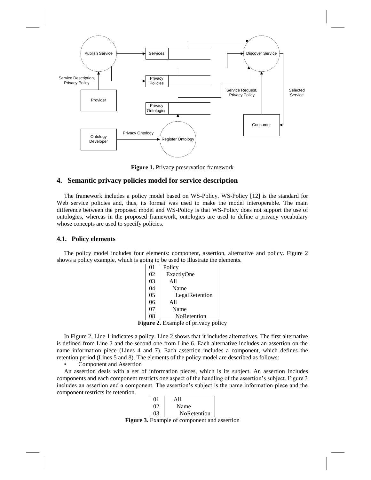

**Figure 1.** Privacy preservation framework

#### **4. Semantic privacy policies model for service description**

The framework includes a policy model based on WS-Policy. WS-Policy [\[12\]](#page-19-7) is the standard for Web service policies and, thus, its format was used to make the model interoperable. The main difference between the proposed model and WS-Policy is that WS-Policy does not support the use of ontologies, whereas in the proposed framework, ontologies are used to define a privacy vocabulary whose concepts are used to specify policies.

#### **4.1. Policy elements**

The policy model includes four elements: component, assertion, alternative and policy. Figure 2 shows a policy example, which is going to be used to illustrate the elements.

|                                            | 01 | Policy         |  |
|--------------------------------------------|----|----------------|--|
|                                            | 02 | ExactlyOne     |  |
|                                            | 03 | A11            |  |
|                                            | 04 | Name           |  |
|                                            | 05 | LegalRetention |  |
|                                            | 06 | A11            |  |
|                                            | 07 | Name           |  |
|                                            | 08 | NoRetention    |  |
| <b>Figure 2.</b> Example of privacy policy |    |                |  |

In Figure 2, Line 1 indicates a policy. Line 2 shows that it includes alternatives. The first alternative is defined from Line 3 and the second one from Line 6. Each alternative includes an assertion on the name information piece (Lines 4 and 7). Each assertion includes a component, which defines the retention period (Lines 5 and 8). The elements of the policy model are described as follows:

Component and Assertion

An assertion deals with a set of information pieces, which is its subject. An assertion includes components and each component restricts one aspect of the handling of the assertion's subject. Figure 3 includes an assertion and a component. The assertion's subject is the name information piece and the component restricts its retention.

|          | A 11        |
|----------|-------------|
| $\Omega$ | Name        |
|          | NoRetention |

**Figure 3.** Example of component and assertion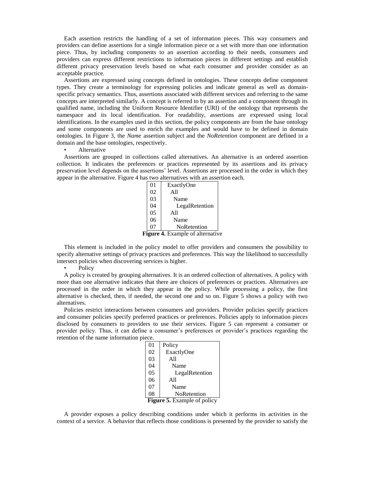Each assertion restricts the handling of a set of information pieces. This way consumers and providers can define assertions for a single information piece or a set with more than one information piece. Thus, by including components to an assertion according to their needs, consumers and providers can express different restrictions to information pieces in different settings and establish different privacy preservation levels based on what each consumer and provider consider as an acceptable practice.

Assertions are expressed using concepts defined in ontologies. These concepts define component types. They create a terminology for expressing policies and indicate general as well as domainspecific privacy semantics. Thus, assertions associated with different services and referring to the same concepts are interpreted similarly. A concept is referred to by an assertion and a component through its qualified name, including the Uniform Resource Identifier (URI) of the ontology that represents the namespace and its local identification. For readability, assertions are expressed using local identifications. In the examples used in this section, the policy components are from the base ontology and some components are used to enrich the examples and would have to be defined in domain ontologies. In Figure 3, the *Name* assertion subject and the *NoRetention* component are defined in a domain and the base ontologies, respectively.

#### **Alternative**

Assertions are grouped in collections called alternatives. An alternative is an ordered assertion collection. It indicates the preferences or practices represented by its assertions and its privacy preservation level depends on the assertions' level. Assertions are processed in the order in which they appear in the alternative. Figure 4 has two alternatives with an assertion each.

|                                  | 01 | ExactlyOne         |  |
|----------------------------------|----|--------------------|--|
|                                  | 02 | A11                |  |
|                                  | 03 | Name               |  |
|                                  | 04 | LegalRetention     |  |
|                                  | 05 | A11                |  |
|                                  | 06 | Name               |  |
|                                  |    | <b>NoRetention</b> |  |
| Figure 4. Example of alternative |    |                    |  |

This element is included in the policy model to offer providers and consumers the possibility to specify alternative settings of privacy practices and preferences. This way the likelihood to successfully intersect policies when discovering services is higher.

**Policy** 

A policy is created by grouping alternatives. It is an ordered collection of alternatives. A policy with more than one alternative indicates that there are choices of preferences or practices. Alternatives are processed in the order in which they appear in the policy. While processing a policy, the first alternative is checked, then, if needed, the second one and so on. Figure 5 shows a policy with two alternatives.

Policies restrict interactions between consumers and providers. Provider policies specify practices and consumer policies specify preferred practices or preferences. Policies apply to information pieces disclosed by consumers to providers to use their services. Figure 5 can represent a consumer or provider policy. Thus, it can define a consumer's preferences or provider's practices regarding the retention of the name information piece.

| $^{01}$                            | Policy         |  |
|------------------------------------|----------------|--|
| 02                                 | ExactlyOne     |  |
| 03                                 | A11            |  |
| 04                                 | Name           |  |
| 0 <sub>5</sub>                     | LegalRetention |  |
| 06                                 | All            |  |
| 07                                 | Name           |  |
| 08                                 | NoRetention    |  |
| <b>Figure 5.</b> Example of policy |                |  |

A provider exposes a policy describing conditions under which it performs its activities in the context of a service. A behavior that reflects those conditions is presented by the provider to satisfy the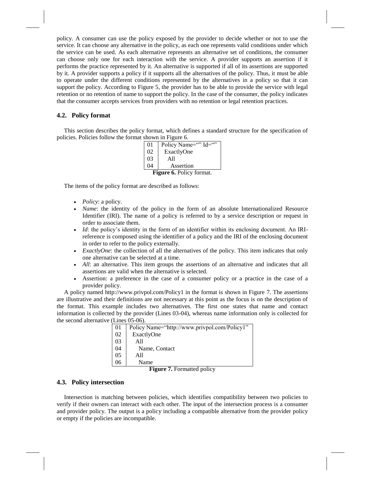policy. A consumer can use the policy exposed by the provider to decide whether or not to use the service. It can choose any alternative in the policy, as each one represents valid conditions under which the service can be used. As each alternative represents an alternative set of conditions, the consumer can choose only one for each interaction with the service. A provider supports an assertion if it performs the practice represented by it. An alternative is supported if all of its assertions are supported by it. A provider supports a policy if it supports all the alternatives of the policy. Thus, it must be able to operate under the different conditions represented by the alternatives in a policy so that it can support the policy. According to Figure 5, the provider has to be able to provide the service with legal retention or no retention of name to support the policy. In the case of the consumer, the policy indicates that the consumer accepts services from providers with no retention or legal retention practices.

#### **4.2. Policy format**

This section describes the policy format, which defines a standard structure for the specification of policies. Policies follow the format shown in Figure 6.

| 0 <sub>1</sub>                  | Policy Name="" Id="" |  |
|---------------------------------|----------------------|--|
| 02                              | ExactlyOne           |  |
| 0 <sub>3</sub>                  | A11                  |  |
| 04                              | Assertion            |  |
| <b>Figure 6.</b> Policy format. |                      |  |

The items of the policy format are described as follows:

- *Policy*: a policy.
- *Name*: the identity of the policy in the form of an absolute Internationalized Resource Identifier (IRI). The name of a policy is referred to by a service description or request in order to associate them.
- *Id*: the policy's identity in the form of an identifier within its enclosing document. An IRIreference is composed using the identifier of a policy and the IRI of the enclosing document in order to refer to the policy externally.
- *ExactlyOne*: the collection of all the alternatives of the policy. This item indicates that only one alternative can be selected at a time.
- *All*: an alternative. This item groups the assertions of an alternative and indicates that all assertions are valid when the alternative is selected.
- Assertion: a preference in the case of a consumer policy or a practice in the case of a provider policy.

A policy named http://www.privpol.com/Policy1 in the format is shown in Figure 7. The assertions are illustrative and their definitions are not necessary at this point as the focus is on the description of the format. This example includes two alternatives. The first one states that name and contact information is collected by the provider (Lines 03-04), whereas name information only is collected for the second alternative (Lines 05-06).

| 01 | Policy Name="http://www.privpol.com/Policy1" |
|----|----------------------------------------------|
| 02 | ExactlyOne                                   |
| 03 | A11                                          |
| 04 | Name, Contact                                |
| 05 | A11                                          |
| 06 | Name                                         |

**Figure 7.** Formatted policy

#### **4.3. Policy intersection**

Intersection is matching between policies, which identifies compatibility between two policies to verify if their owners can interact with each other. The input of the intersection process is a consumer and provider policy. The output is a policy including a compatible alternative from the provider policy or empty if the policies are incompatible.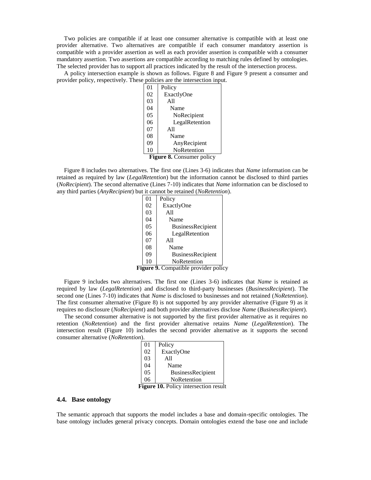Two policies are compatible if at least one consumer alternative is compatible with at least one provider alternative. Two alternatives are compatible if each consumer mandatory assertion is compatible with a provider assertion as well as each provider assertion is compatible with a consumer mandatory assertion. Two assertions are compatible according to matching rules defined by ontologies. The selected provider has to support all practices indicated by the result of the intersection process.

A policy intersection example is shown as follows. Figure 8 and Figure 9 present a consumer and provider policy, respectively. These policies are the intersection input.

| 01                        | Policy         |  |
|---------------------------|----------------|--|
| 02                        | ExactlyOne     |  |
| 03                        | A11            |  |
| 04                        | Name           |  |
| 05                        | NoRecipient    |  |
| 06                        | LegalRetention |  |
| 07                        | A11            |  |
| 08                        | Name           |  |
| 09                        | AnyRecipient   |  |
| 10                        | NoRetention    |  |
| Figure 8. Consumer policy |                |  |

Figure 8 includes two alternatives. The first one (Lines 3-6) indicates that *Name* information can be retained as required by law (*LegalRetention*) but the information cannot be disclosed to third parties (*NoRecipient*). The second alternative (Lines 7-10) indicates that *Name* information can be disclosed to any third parties (*AnyRecipient*) but it cannot be retained (*NoRetention*).

|                                      | 0 <sub>1</sub> | Policy                   |
|--------------------------------------|----------------|--------------------------|
|                                      | 02             | ExactlyOne               |
|                                      | 03             | A11                      |
|                                      | 04             | Name                     |
|                                      | 05             | BusinessRecipient        |
|                                      | 06             | LegalRetention           |
|                                      | 07             | A11                      |
|                                      | 08             | Name                     |
|                                      | 09             | <b>BusinessRecipient</b> |
|                                      | 10             | NoRetention              |
| Tionre<br>Compatible provider polici |                |                          |

**Figure 9.** Compatible provider policy

Figure 9 includes two alternatives. The first one (Lines 3-6) indicates that *Name* is retained as required by law (*LegalRetention*) and disclosed to third-party businesses (*BusinessRecipient*). The second one (Lines 7-10) indicates that *Name* is disclosed to businesses and not retained (*NoRetention*). The first consumer alternative (Figure 8) is not supported by any provider alternative (Figure 9) as it requires no disclosure (*NoRecipient*) and both provider alternatives disclose *Name* (*BusinessRecipient*).

The second consumer alternative is not supported by the first provider alternative as it requires no retention (*NoRetention*) and the first provider alternative retains *Name* (*LegalRetention*). The intersection result (Figure 10) includes the second provider alternative as it supports the second consumer alternative (*NoRetention*).

|                                              | 01 | Policy                   |
|----------------------------------------------|----|--------------------------|
|                                              | 02 | ExactlyOne               |
|                                              | 03 | A11                      |
|                                              | 04 | Name                     |
|                                              | 05 | <b>BusinessRecipient</b> |
|                                              | 06 | NoRetention              |
| <b>Figure 10.</b> Policy intersection result |    |                          |

#### **4.4. Base ontology**

The semantic approach that supports the model includes a base and domain-specific ontologies. The base ontology includes general privacy concepts. Domain ontologies extend the base one and include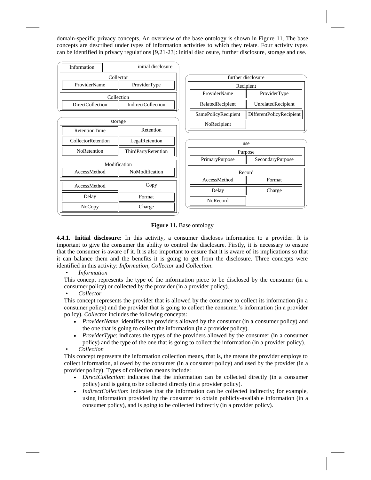domain-specific privacy concepts. An overview of the base ontology is shown in Figure 11. The base concepts are described under types of information activities to which they relate. Four activity types can be identified in privacy regulations [9,21-23]: initial disclosure, further disclosure, storage and use.



#### **Figure 11.** Base ontology

**4.4.1. Initial disclosure:** In this activity, a consumer discloses information to a provider. It is important to give the consumer the ability to control the disclosure. Firstly, it is necessary to ensure that the consumer is aware of it. It is also important to ensure that it is aware of its implications so that it can balance them and the benefits it is going to get from the disclosure. Three concepts were identified in this activity: *Information*, *Collector* and *Collection*.

• *Information*

This concept represents the type of the information piece to be disclosed by the consumer (in a consumer policy) or collected by the provider (in a provider policy).

• *Collector*

This concept represents the provider that is allowed by the consumer to collect its information (in a consumer policy) and the provider that is going to collect the consumer's information (in a provider policy). *Collector* includes the following concepts:

- *ProviderName*: identifies the providers allowed by the consumer (in a consumer policy) and the one that is going to collect the information (in a provider policy).
- *ProviderType*: indicates the types of the providers allowed by the consumer (in a consumer policy) and the type of the one that is going to collect the information (in a provider policy). • *Collection*

This concept represents the information collection means, that is, the means the provider employs to collect information, allowed by the consumer (in a consumer policy) and used by the provider (in a provider policy). Types of collection means include:

- *DirectCollection*: indicates that the information can be collected directly (in a consumer policy) and is going to be collected directly (in a provider policy).
- *IndirectCollection*: indicates that the information can be collected indirectly; for example, using information provided by the consumer to obtain publicly-available information (in a consumer policy), and is going to be collected indirectly (in a provider policy).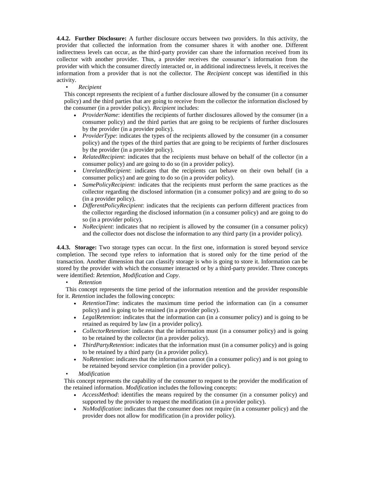**4.4.2. Further Disclosure:** A further disclosure occurs between two providers. In this activity, the provider that collected the information from the consumer shares it with another one. Different indirectness levels can occur, as the third-party provider can share the information received from its collector with another provider. Thus, a provider receives the consumer's information from the provider with which the consumer directly interacted or, in additional indirectness levels, it receives the information from a provider that is not the collector. The *Recipient* concept was identified in this activity.

#### • *Recipient*

This concept represents the recipient of a further disclosure allowed by the consumer (in a consumer policy) and the third parties that are going to receive from the collector the information disclosed by the consumer (in a provider policy). *Recipient* includes:

- *ProviderName*: identifies the recipients of further disclosures allowed by the consumer (in a consumer policy) and the third parties that are going to be recipients of further disclosures by the provider (in a provider policy).
- *ProviderType*: indicates the types of the recipients allowed by the consumer (in a consumer policy) and the types of the third parties that are going to be recipients of further disclosures by the provider (in a provider policy).
- *RelatedRecipient*: indicates that the recipients must behave on behalf of the collector (in a consumer policy) and are going to do so (in a provider policy).
- *UnrelatedRecipient*: indicates that the recipients can behave on their own behalf (in a consumer policy) and are going to do so (in a provider policy).
- *SamePolicyRecipient*: indicates that the recipients must perform the same practices as the collector regarding the disclosed information (in a consumer policy) and are going to do so (in a provider policy).
- *DifferentPolicyRecipient*: indicates that the recipients can perform different practices from the collector regarding the disclosed information (in a consumer policy) and are going to do so (in a provider policy).
- *NoRecipient*: indicates that no recipient is allowed by the consumer (in a consumer policy) and the collector does not disclose the information to any third party (in a provider policy).

**4.4.3. Storage:** Two storage types can occur. In the first one, information is stored beyond service completion. The second type refers to information that is stored only for the time period of the transaction. Another dimension that can classify storage is who is going to store it. Information can be stored by the provider with which the consumer interacted or by a third-party provider. Three concepts were identified: *Retention*, *Modification* and *Copy*.

#### • *Retention*

This concept represents the time period of the information retention and the provider responsible for it. *Retention* includes the following concepts:

- *RetentionTime*: indicates the maximum time period the information can (in a consumer policy) and is going to be retained (in a provider policy).
- *LegalRetention*: indicates that the information can (in a consumer policy) and is going to be retained as required by law (in a provider policy).
- *CollectorRetention*: indicates that the information must (in a consumer policy) and is going to be retained by the collector (in a provider policy).
- *ThirdPartyRetention*: indicates that the information must (in a consumer policy) and is going to be retained by a third party (in a provider policy).
- *NoRetention*: indicates that the information cannot (in a consumer policy) and is not going to be retained beyond service completion (in a provider policy).
- *Modification*

This concept represents the capability of the consumer to request to the provider the modification of the retained information. *Modification* includes the following concepts:

- *AccessMethod*: identifies the means required by the consumer (in a consumer policy) and supported by the provider to request the modification (in a provider policy).
- *NoModification*: indicates that the consumer does not require (in a consumer policy) and the provider does not allow for modification (in a provider policy).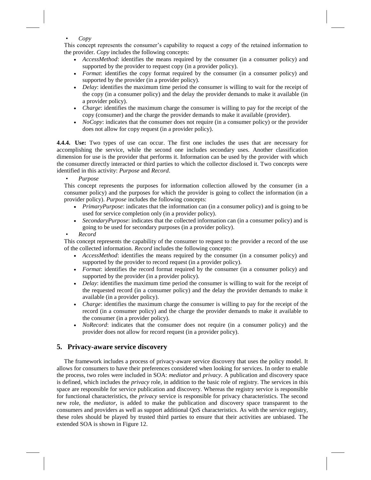#### • *Copy*

This concept represents the consumer's capability to request a copy of the retained information to the provider. *Copy* includes the following concepts:

- *AccessMethod*: identifies the means required by the consumer (in a consumer policy) and supported by the provider to request copy (in a provider policy).
- *Format*: identifies the copy format required by the consumer (in a consumer policy) and supported by the provider (in a provider policy).
- *Delay*: identifies the maximum time period the consumer is willing to wait for the receipt of the copy (in a consumer policy) and the delay the provider demands to make it available (in a provider policy).
- *Charge*: identifies the maximum charge the consumer is willing to pay for the receipt of the copy (consumer) and the charge the provider demands to make it available (provider).
- *NoCopy*: indicates that the consumer does not require (in a consumer policy) or the provider does not allow for copy request (in a provider policy).

**4.4.4. Use:** Two types of use can occur. The first one includes the uses that are necessary for accomplishing the service, while the second one includes secondary uses. Another classification dimension for use is the provider that performs it. Information can be used by the provider with which the consumer directly interacted or third parties to which the collector disclosed it. Two concepts were identified in this activity: *Purpose* and *Record*.

• *Purpose*

This concept represents the purposes for information collection allowed by the consumer (in a consumer policy) and the purposes for which the provider is going to collect the information (in a provider policy). *Purpose* includes the following concepts:

- *PrimaryPurpose*: indicates that the information can (in a consumer policy) and is going to be used for service completion only (in a provider policy).
- *SecondaryPurpose*: indicates that the collected information can (in a consumer policy) and is going to be used for secondary purposes (in a provider policy).

#### • *Record*

This concept represents the capability of the consumer to request to the provider a record of the use of the collected information. *Record* includes the following concepts:

- *AccessMethod*: identifies the means required by the consumer (in a consumer policy) and supported by the provider to record request (in a provider policy).
- *Format*: identifies the record format required by the consumer (in a consumer policy) and supported by the provider (in a provider policy).
- *Delay*: identifies the maximum time period the consumer is willing to wait for the receipt of the requested record (in a consumer policy) and the delay the provider demands to make it available (in a provider policy).
- *Charge*: identifies the maximum charge the consumer is willing to pay for the receipt of the record (in a consumer policy) and the charge the provider demands to make it available to the consumer (in a provider policy).
- *NoRecord*: indicates that the consumer does not require (in a consumer policy) and the provider does not allow for record request (in a provider policy).

#### **5. Privacy-aware service discovery**

The framework includes a process of privacy-aware service discovery that uses the policy model. It allows for consumers to have their preferences considered when looking for services. In order to enable the process, two roles were included in SOA: *mediator* and *privacy*. A publication and discovery space is defined, which includes the *privacy* role, in addition to the basic role of registry. The services in this space are responsible for service publication and discovery. Whereas the registry service is responsible for functional characteristics, the *privacy* service is responsible for privacy characteristics. The second new role, the *mediator*, is added to make the publication and discovery space transparent to the consumers and providers as well as support additional QoS characteristics. As with the service registry, these roles should be played by trusted third parties to ensure that their activities are unbiased. The extended SOA is shown in Figure 12.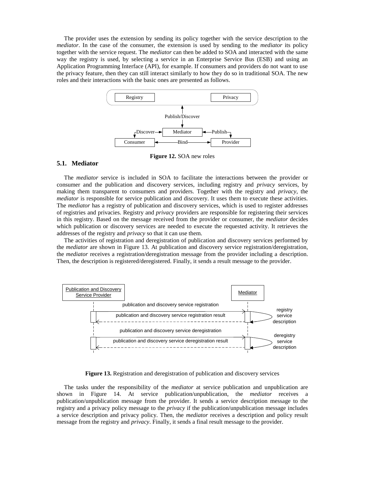The provider uses the extension by sending its policy together with the service description to the *mediator*. In the case of the consumer, the extension is used by sending to the *mediator* its policy together with the service request. The *mediator* can then be added to SOA and interacted with the same way the registry is used, by selecting a service in an Enterprise Service Bus (ESB) and using an Application Programming Interface (API), for example. If consumers and providers do not want to use the privacy feature, then they can still interact similarly to how they do so in traditional SOA. The new roles and their interactions with the basic ones are presented as follows.



**Figure 12.** SOA new roles

#### **5.1. Mediator**

The *mediator* service is included in SOA to facilitate the interactions between the provider or consumer and the publication and discovery services, including registry and *privacy* services, by making them transparent to consumers and providers. Together with the registry and *privacy*, the *mediator* is responsible for service publication and discovery. It uses them to execute these activities. The *mediator* has a registry of publication and discovery services, which is used to register addresses of registries and privacies. Registry and *privacy* providers are responsible for registering their services in this registry. Based on the message received from the provider or consumer, the *mediator* decides which publication or discovery services are needed to execute the requested activity. It retrieves the addresses of the registry and *privacy* so that it can use them.

The activities of registration and deregistration of publication and discovery services performed by the *mediator* are shown in Figure 13. At publication and discovery service registration/deregistration, the *mediator* receives a registration/deregistration message from the provider including a description. Then, the description is registered/deregistered. Finally, it sends a result message to the provider.



**Figure 13.** Registration and deregistration of publication and discovery services

The tasks under the responsibility of the *mediator* at service publication and unpublication are shown in Figure 14. At service publication/unpublication, the *mediator* receives a publication/unpublication message from the provider. It sends a service description message to the registry and a privacy policy message to the *privacy* if the publication/unpublication message includes a service description and privacy policy. Then, the *mediator* receives a description and policy result message from the registry and *privacy*. Finally, it sends a final result message to the provider.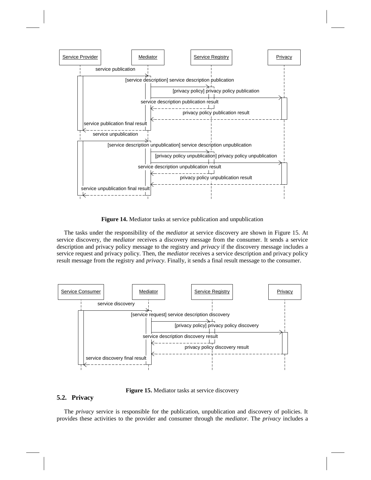

**Figure 14.** Mediator tasks at service publication and unpublication

The tasks under the responsibility of the *mediator* at service discovery are shown in Figure 15. At service discovery, the *mediator* receives a discovery message from the consumer. It sends a service description and privacy policy message to the registry and *privacy* if the discovery message includes a service request and privacy policy. Then, the *mediator* receives a service description and privacy policy result message from the registry and *privacy*. Finally, it sends a final result message to the consumer.



**Figure 15.** Mediator tasks at service discovery

#### **5.2. Privacy**

The *privacy* service is responsible for the publication, unpublication and discovery of policies. It provides these activities to the provider and consumer through the *mediator*. The *privacy* includes a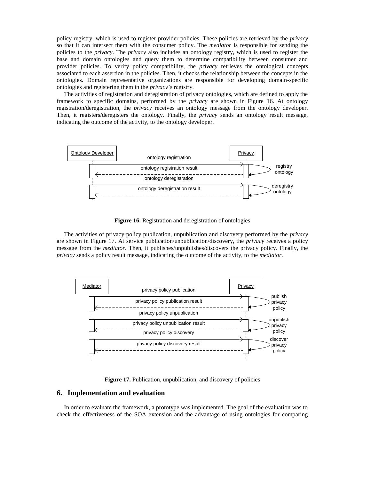policy registry, which is used to register provider policies. These policies are retrieved by the *privacy* so that it can intersect them with the consumer policy. The *mediator* is responsible for sending the policies to the *privacy*. The *privacy* also includes an ontology registry, which is used to register the base and domain ontologies and query them to determine compatibility between consumer and provider policies. To verify policy compatibility, the *privacy* retrieves the ontological concepts associated to each assertion in the policies. Then, it checks the relationship between the concepts in the ontologies. Domain representative organizations are responsible for developing domain-specific ontologies and registering them in the *privacy*'s registry.

The activities of registration and deregistration of privacy ontologies, which are defined to apply the framework to specific domains, performed by the *privacy* are shown in Figure 16. At ontology registration/deregistration, the *privacy* receives an ontology message from the ontology developer. Then, it registers/deregisters the ontology. Finally, the *privacy* sends an ontology result message, indicating the outcome of the activity, to the ontology developer.



**Figure 16.** Registration and deregistration of ontologies

The activities of privacy policy publication, unpublication and discovery performed by the *privacy* are shown in Figure 17. At service publication/unpublication/discovery, the *privacy* receives a policy message from the *mediator*. Then, it publishes/unpublishes/discovers the privacy policy. Finally, the *privacy* sends a policy result message, indicating the outcome of the activity, to the *mediator*.



**Figure 17.** Publication, unpublication, and discovery of policies

#### **6. Implementation and evaluation**

In order to evaluate the framework, a prototype was implemented. The goal of the evaluation was to check the effectiveness of the SOA extension and the advantage of using ontologies for comparing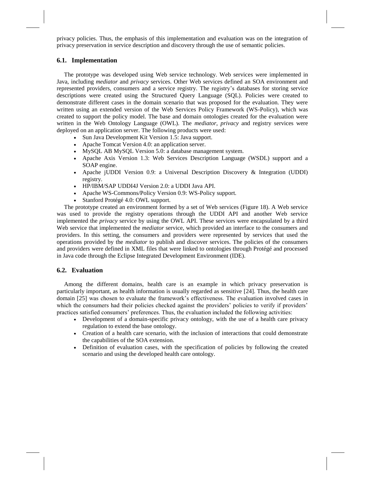privacy policies. Thus, the emphasis of this implementation and evaluation was on the integration of privacy preservation in service description and discovery through the use of semantic policies.

#### **6.1. Implementation**

The prototype was developed using Web service technology. Web services were implemented in Java, including *mediator* and *privacy* services. Other Web services defined an SOA environment and represented providers, consumers and a service registry. The registry's databases for storing service descriptions were created using the Structured Query Language (SQL). Policies were created to demonstrate different cases in the domain scenario that was proposed for the evaluation. They were written using an extended version of the Web Services Policy Framework (WS-Policy), which was created to support the policy model. The base and domain ontologies created for the evaluation were written in the Web Ontology Language (OWL). The *mediator*, *privacy* and registry services were deployed on an application server. The following products were used:

- Sun Java Development Kit Version 1.5: Java support.
- Apache Tomcat Version 4.0: an application server.
- MySQL AB MySQL Version 5.0: a database management system.
- Apache Axis Version 1.3: Web Services Description Language (WSDL) support and a SOAP engine.
- Apache jUDDI Version 0.9: a Universal Description Discovery & Integration (UDDI) registry.
- HP/IBM/SAP UDDI4J Version 2.0: a UDDI Java API.
- Apache WS-Commons/Policy Version 0.9: WS-Policy support.
- Stanford Protégé 4.0: OWL support.

The prototype created an environment formed by a set of Web services (Figure 18). A Web service was used to provide the registry operations through the UDDI API and another Web service implemented the *privacy* service by using the OWL API. These services were encapsulated by a third Web service that implemented the *mediator* service, which provided an interface to the consumers and providers. In this setting, the consumers and providers were represented by services that used the operations provided by the *mediator* to publish and discover services. The policies of the consumers and providers were defined in XML files that were linked to ontologies through Protégé and processed in Java code through the Eclipse Integrated Development Environment (IDE).

#### **6.2. Evaluation**

Among the different domains, health care is an example in which privacy preservation is particularly important, as health information is usually regarded as sensitive [24]. Thus, the health care domain [25] was chosen to evaluate the framework's effectiveness. The evaluation involved cases in which the consumers had their policies checked against the providers' policies to verify if providers' practices satisfied consumers' preferences. Thus, the evaluation included the following activities:

- Development of a domain-specific privacy ontology, with the use of a health care privacy regulation to extend the base ontology.
- Creation of a health care scenario, with the inclusion of interactions that could demonstrate the capabilities of the SOA extension.
- Definition of evaluation cases, with the specification of policies by following the created scenario and using the developed health care ontology.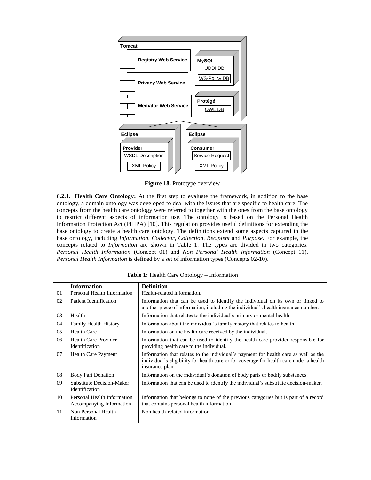

**Figure 18.** Prototype overview

**6.2.1. Health Care Ontology:** At the first step to evaluate the framework, in addition to the base ontology, a domain ontology was developed to deal with the issues that are specific to health care. The concepts from the health care ontology were referred to together with the ones from the base ontology to restrict different aspects of information use. The ontology is based on the Personal Health Information Protection Act (PHIPA) [10]. This regulation provides useful definitions for extending the base ontology to create a health care ontology. The definitions extend some aspects captured in the base ontology, including *Information*, *Collector*, *Collection*, *Recipient* and *Purpose*. For example, the concepts related to *Information* are shown in Table 1. The types are divided in two categories: *Personal Health Information* (Concept 01) and *Non Personal Health Information* (Concept 11). *Personal Health Information* is defined by a set of information types (Concepts 02-10).

|    | <b>Information</b>                                        | <b>Definition</b>                                                                                                                                                                                 |
|----|-----------------------------------------------------------|---------------------------------------------------------------------------------------------------------------------------------------------------------------------------------------------------|
| 01 | Personal Health Information                               | Health-related information.                                                                                                                                                                       |
| 02 | Patient Identification                                    | Information that can be used to identify the individual on its own or linked to<br>another piece of information, including the individual's health insurance number.                              |
| 03 | Health                                                    | Information that relates to the individual's primary or mental health.                                                                                                                            |
| 04 | <b>Family Health History</b>                              | Information about the individual's family history that relates to health.                                                                                                                         |
| 05 | <b>Health Care</b>                                        | Information on the health care received by the individual.                                                                                                                                        |
| 06 | <b>Health Care Provider</b><br>Identification             | Information that can be used to identify the health care provider responsible for<br>providing health care to the individual.                                                                     |
| 07 | <b>Health Care Payment</b>                                | Information that relates to the individual's payment for health care as well as the<br>individual's eligibility for health care or for coverage for health care under a health<br>insurance plan. |
| 08 | <b>Body Part Donation</b>                                 | Information on the individual's donation of body parts or bodily substances.                                                                                                                      |
| 09 | <b>Substitute Decision-Maker</b><br><b>Identification</b> | Information that can be used to identify the individual's substitute decision-maker.                                                                                                              |
| 10 | Personal Health Information<br>Accompanying Information   | Information that belongs to none of the previous categories but is part of a record<br>that contains personal health information.                                                                 |
| 11 | Non Personal Health<br>Information                        | Non health-related information.                                                                                                                                                                   |

**Table 1:** Health Care Ontology – Information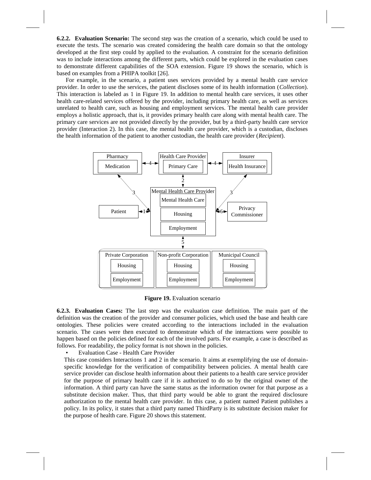**6.2.2. Evaluation Scenario:** The second step was the creation of a scenario, which could be used to execute the tests. The scenario was created considering the health care domain so that the ontology developed at the first step could by applied to the evaluation. A constraint for the scenario definition was to include interactions among the different parts, which could be explored in the evaluation cases to demonstrate different capabilities of the SOA extension. Figure 19 shows the scenario, which is based on examples from a PHIPA toolkit [26].

For example, in the scenario, a patient uses services provided by a mental health care service provider. In order to use the services, the patient discloses some of its health information (*Collection*). This interaction is labeled as 1 in Figure 19. In addition to mental health care services, it uses other health care-related services offered by the provider, including primary health care, as well as services unrelated to health care, such as housing and employment services. The mental health care provider employs a holistic approach, that is, it provides primary health care along with mental health care. The primary care services are not provided directly by the provider, but by a third-party health care service provider (Interaction 2). In this case, the mental health care provider, which is a custodian, discloses the health information of the patient to another custodian, the health care provider (*Recipient*).



**Figure 19.** Evaluation scenario

**6.2.3. Evaluation Cases:** The last step was the evaluation case definition. The main part of the definition was the creation of the provider and consumer policies, which used the base and health care ontologies. These policies were created according to the interactions included in the evaluation scenario. The cases were then executed to demonstrate which of the interactions were possible to happen based on the policies defined for each of the involved parts. For example, a case is described as follows. For readability, the policy format is not shown in the policies.

• Evaluation Case - Health Care Provider

This case considers Interactions 1 and 2 in the scenario. It aims at exemplifying the use of domainspecific knowledge for the verification of compatibility between policies. A mental health care service provider can disclose health information about their patients to a health care service provider for the purpose of primary health care if it is authorized to do so by the original owner of the information. A third party can have the same status as the information owner for that purpose as a substitute decision maker. Thus, that third party would be able to grant the required disclosure authorization to the mental health care provider. In this case, a patient named Patient publishes a policy. In its policy, it states that a third party named ThirdParty is its substitute decision maker for the purpose of health care. Figure 20 shows this statement.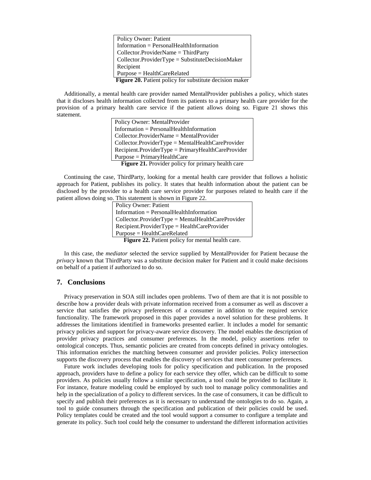Policy Owner: Patient Information = PersonalHealthInformation Collector.ProviderName = ThirdParty Collector.ProviderType = SubstituteDecisionMaker Recipient Purpose = HealthCareRelated **Figure 20.** Patient policy for substitute decision maker

Additionally, a mental health care provider named MentalProvider publishes a policy, which states that it discloses health information collected from its patients to a primary health care provider for the provision of a primary health care service if the patient allows doing so. Figure 21 shows this statement.

Policy Owner: MentalProvider Information = PersonalHealthInformation Collector.ProviderName = MentalProvider Collector.ProviderType = MentalHealthCareProvider Recipient.ProviderType = PrimaryHealthCareProvider Purpose = PrimaryHealthCare **Figure 21.** Provider policy for primary health care

Continuing the case, ThirdParty, looking for a mental health care provider that follows a holistic approach for Patient, publishes its policy. It states that health information about the patient can be disclosed by the provider to a health care service provider for purposes related to health care if the patient allows doing so. This statement is shown in Figure 22.

> Policy Owner: Patient Information = PersonalHealthInformation Collector.ProviderType = MentalHealthCareProvider Recipient.ProviderType = HealthCareProvider Purpose = HealthCareRelated **Figure 22.** Patient policy for mental health care.

In this case, the *mediator* selected the service supplied by MentalProvider for Patient because the *privacy* known that ThirdParty was a substitute decision maker for Patient and it could make decisions on behalf of a patient if authorized to do so.

#### **7. Conclusions**

Privacy preservation in SOA still includes open problems. Two of them are that it is not possible to describe how a provider deals with private information received from a consumer as well as discover a service that satisfies the privacy preferences of a consumer in addition to the required service functionality. The framework proposed in this paper provides a novel solution for these problems. It addresses the limitations identified in frameworks presented earlier. It includes a model for semantic privacy policies and support for privacy-aware service discovery. The model enables the description of provider privacy practices and consumer preferences. In the model, policy assertions refer to ontological concepts. Thus, semantic policies are created from concepts defined in privacy ontologies. This information enriches the matching between consumer and provider policies. Policy intersection supports the discovery process that enables the discovery of services that meet consumer preferences.

Future work includes developing tools for policy specification and publication. In the proposed approach, providers have to define a policy for each service they offer, which can be difficult to some providers. As policies usually follow a similar specification, a tool could be provided to facilitate it. For instance, feature modeling could be employed by such tool to manage policy commonalities and help in the specialization of a policy to different services. In the case of consumers, it can be difficult to specify and publish their preferences as it is necessary to understand the ontologies to do so. Again, a tool to guide consumers through the specification and publication of their policies could be used. Policy templates could be created and the tool would support a consumer to configure a template and generate its policy. Such tool could help the consumer to understand the different information activities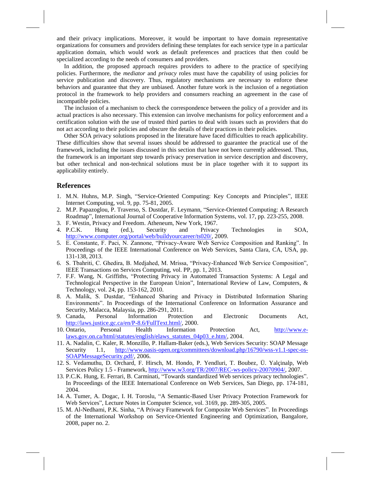and their privacy implications. Moreover, it would be important to have domain representative organizations for consumers and providers defining these templates for each service type in a particular application domain, which would work as default preferences and practices that then could be specialized according to the needs of consumers and providers.

In addition, the proposed approach requires providers to adhere to the practice of specifying policies. Furthermore, the *mediator* and *privacy* roles must have the capability of using policies for service publication and discovery. Thus, regulatory mechanisms are necessary to enforce these behaviors and guarantee that they are unbiased. Another future work is the inclusion of a negotiation protocol in the framework to help providers and consumers reaching an agreement in the case of incompatible policies.

The inclusion of a mechanism to check the correspondence between the policy of a provider and its actual practices is also necessary. This extension can involve mechanisms for policy enforcement and a certification solution with the use of trusted third parties to deal with issues such as providers that do not act according to their policies and obscure the details of their practices in their policies.

Other SOA privacy solutions proposed in the literature have faced difficulties to reach applicability. These difficulties show that several issues should be addressed to guarantee the practical use of the framework, including the issues discussed in this section that have not been currently addressed. Thus, the framework is an important step towards privacy preservation in service description and discovery, but other technical and non-technical solutions must be in place together with it to support its applicability entirely.

#### **References**

- <span id="page-19-0"></span>1. M.N. Huhns, M.P. Singh, "Service-Oriented Computing: Key Concepts and Principles", IEEE Internet Computing, vol. 9, pp. 75-81, 2005.
- <span id="page-19-1"></span>2. M.P. Papazoglou, P. Traverso, S. Dustdar, F. Leymann, "Service-Oriented Computing: A Research Roadmap", International Journal of Cooperative Information Systems, vol. 17, pp. 223-255, 2008.
- <span id="page-19-2"></span>3. F. Westin, Privacy and Freedom. Atheneum, New York, 1967.
- <span id="page-19-3"></span>4. P.C.K. Hung (ed.), Security and Privacy Technologies in SOA, [http://www.computer.org/portal/web/buildyourcareer/ts020/,](http://www.computer.org/portal/web/buildyourcareer/ts020/) 2009.
- 5. E. Constante, F. Paci, N. Zannone, "Privacy-Aware Web Service Composition and Ranking". In Proceedings of the IEEE International Conference on Web Services, Santa Clara, CA, USA, pp. 131-138, 2013.
- 6. S. Tbahriti, C. Ghedira, B. Medjahed, M. Mrissa, "Privacy-Enhanced Web Service Composition", IEEE Transactions on Services Computing, vol. PP, pp. 1, 2013.
- 7. F.F. Wang, N. Griffiths, "Protecting Privacy in Automated Transaction Systems: A Legal and Technological Perspective in the European Union", International Review of Law, Computers, & Technology, vol. 24, pp. 153-162, 2010.
- 8. A. Malik, S. Dustdar, "Enhanced Sharing and Privacy in Distributed Information Sharing Environments". In Proceedings of the International Conference on Information Assurance and Security, Malacca, Malaysia, pp. 286-291, 2011.
- <span id="page-19-4"></span>9. Canada, Personal Information Protection and Electronic Documents Act, [http://laws.justice.gc.ca/en/P-8.6/FullText.html/,](http://laws.justice.gc.ca/en/P-8.6/FullText.html/) 2000.
- <span id="page-19-5"></span>10. Ontario, Personal Health Information Protection Act, [http://www.e](http://www.e-laws.gov.on.ca/html/statutes/english/elaws_statutes_04p03_e.htm/)[laws.gov.on.ca/html/statutes/english/elaws\\_statutes\\_04p03\\_e.htm/,](http://www.e-laws.gov.on.ca/html/statutes/english/elaws_statutes_04p03_e.htm/) 2004.
- <span id="page-19-6"></span>11. A. Nadalin, C. Kaler, R. Monzillo, P. Hallam-Baker (eds.), Web Services Security: SOAP Message Security 1.1, [http://www.oasis-open.org/committees/download.php/16790/wss-v1.1-spec-os-](http://www.oasis-open.org/committees/download.php/16790/wss-v1.1-spec-os-SOAPMessageSecurity.pdf/)[SOAPMessageSecurity.pdf/,](http://www.oasis-open.org/committees/download.php/16790/wss-v1.1-spec-os-SOAPMessageSecurity.pdf/) 2006.
- <span id="page-19-7"></span>12. S. Vedamuthu, D. Orchard, F. Hirsch, M. Hondo, P. Yendluri, T. Boubez, Ü. Yalçinalp, Web Services Policy 1.5 - Framework, [http://www.w3.org/TR/2007/REC-ws-policy-20070904/,](http://www.w3.org/TR/2007/REC-ws-policy-20070904/) 2007.
- 13. P.C.K. Hung, E. Ferrari, B. Carminati, "Towards standardized Web services privacy technologies". In Proceedings of the IEEE International Conference on Web Services, San Diego, pp. 174-181, 2004.
- 14. A. Tumer, A. Dogac, I. H. Toroslu, "A Semantic-Based User Privacy Protection Framework for Web Services", Lecture Notes in Computer Science, vol. 3169, pp. 289-305, 2005.
- 15. M. Al-Nedhami, P.K. Sinha, "A Privacy Framework for Composite Web Services". In Proceedings of the International Workshop on Service-Oriented Engineering and Optimization, Bangalore, 2008, paper no. 2.